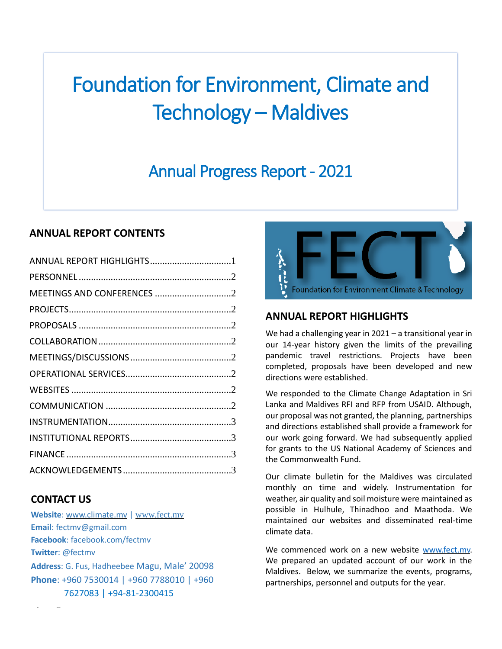# Foundation for Environment, Climate and Technology – Maldives

# Annual Progress Report - 2021

# **ANNUAL REPORT CONTENTS**

| ANNUAL REPORT HIGHLIGHTS1 |  |
|---------------------------|--|
|                           |  |
|                           |  |
|                           |  |
|                           |  |
|                           |  |
|                           |  |
|                           |  |
|                           |  |
|                           |  |
|                           |  |
|                           |  |
|                           |  |
|                           |  |
|                           |  |

# **CONTACT US**

**1 |** P a g e **Website**: [www.climate.mv](http://www.climate.mv/) | [www.fect.mv](http://www.fect.mv/) **Email**: fectmv@gmail.com **Facebook**: facebook.com/fectmv **Twitter**: @fectmv **Address**: G. Fus, Hadheebee Magu, Male' 20098 **Phone**: +960 7530014 | +960 7788010 | +960 7627083 | +94-81-2300415



# <span id="page-0-0"></span>**ANNUAL REPORT HIGHLIGHTS**

We had a challenging year in 2021 – a transitional year in our 14-year history given the limits of the prevailing pandemic travel restrictions. Projects have been completed, proposals have been developed and new directions were established.

We responded to the Climate Change Adaptation in Sri Lanka and Maldives RFI and RFP from USAID. Although, our proposal was not granted, the planning, partnerships and directions established shall provide a framework for our work going forward. We had subsequently applied for grants to the US National Academy of Sciences and the Commonwealth Fund.

Our climate bulletin for the Maldives was circulated monthly on time and widely. Instrumentation for weather, air quality and soil moisture were maintained as possible in Hulhule, Thinadhoo and Maathoda. We maintained our websites and disseminated real-time climate data.

We commenced work on a new website [www.fect.mv.](http://www.fect.mv/) We prepared an updated account of our work in the Maldives. Below, we summarize the events, programs, partnerships, personnel and outputs for the year.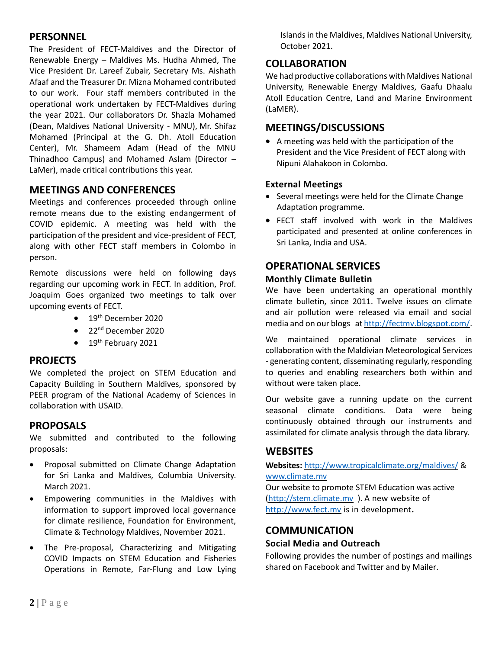# <span id="page-1-0"></span>**PERSONNEL**

The President of FECT-Maldives and the Director of Renewable Energy – Maldives Ms. Hudha Ahmed, The Vice President Dr. Lareef Zubair, Secretary Ms. Aishath Afaaf and the Treasurer Dr. Mizna Mohamed contributed to our work. Four staff members contributed in the operational work undertaken by FECT-Maldives during the year 2021. Our collaborators Dr. Shazla Mohamed (Dean, Maldives National University - MNU), Mr. Shifaz Mohamed (Principal at the G. Dh. Atoll Education Center), Mr. Shameem Adam (Head of the MNU Thinadhoo Campus) and Mohamed Aslam (Director – LaMer), made critical contributions this year.

# <span id="page-1-1"></span>**MEETINGS AND CONFERENCES**

Meetings and conferences proceeded through online remote means due to the existing endangerment of COVID epidemic. A meeting was held with the participation of the president and vice-president of FECT, along with other FECT staff members in Colombo in person.

Remote discussions were held on following days regarding our upcoming work in FECT. In addition, Prof. Joaquim Goes organized two meetings to talk over upcoming events of FECT.

- $\bullet$  19<sup>th</sup> December 2020
- $\bullet$  22<sup>nd</sup> December 2020
- $\bullet$  19<sup>th</sup> February 2021

#### <span id="page-1-2"></span>**PROJECTS**

We completed the project on STEM Education and Capacity Building in Southern Maldives, sponsored by PEER program of the National Academy of Sciences in collaboration with USAID.

# <span id="page-1-3"></span>**PROPOSALS**

We submitted and contributed to the following proposals:

- Proposal submitted on Climate Change Adaptation for Sri Lanka and Maldives, Columbia University. March 2021.
- Empowering communities in the Maldives with information to support improved local governance for climate resilience, Foundation for Environment, Climate & Technology Maldives, November 2021.
- The Pre-proposal, Characterizing and Mitigating COVID Impacts on STEM Education and Fisheries Operations in Remote, Far-Flung and Low Lying

Islands in the Maldives, Maldives National University, October 2021.

# <span id="page-1-4"></span>**COLLABORATION**

We had productive collaborations with Maldives National University, Renewable Energy Maldives, Gaafu Dhaalu Atoll Education Centre, Land and Marine Environment (LaMER).

#### <span id="page-1-5"></span>**MEETINGS/DISCUSSIONS**

 A meeting was held with the participation of the President and the Vice President of FECT along with Nipuni Alahakoon in Colombo.

#### **External Meetings**

- Several meetings were held for the Climate Change Adaptation programme.
- FECT staff involved with work in the Maldives participated and presented at online conferences in Sri Lanka, India and USA.

# <span id="page-1-6"></span>**OPERATIONAL SERVICES**

#### **Monthly Climate Bulletin**

We have been undertaking an operational monthly climate bulletin, since 2011. Twelve issues on climate and air pollution were released via email and social media and on our blogs a[t http://fectmv.blogspot.com/.](http://fectmv.blogspot.com/)

We maintained operational climate services in collaboration with the Maldivian Meteorological Services - generating content, disseminating regularly, responding to queries and enabling researchers both within and without were taken place.

Our website gave a running update on the current seasonal climate conditions. Data were being continuously obtained through our instruments and assimilated for climate analysis through the data library.

# <span id="page-1-7"></span>**WEBSITES**

#### **Websites:** <http://www.tropicalclimate.org/maldives/> & [www.climate.mv](http://www.climate.mv/)

Our website to promote STEM Education was active [\(http://stem.climate.mv](http://stem.climate.mv/) ). A new website of [http://www.fect.mv](http://www.fect.mv/) is in development**.**

# <span id="page-1-8"></span>**COMMUNICATION**

#### **Social Media and Outreach**

Following provides the number of postings and mailings shared on Facebook and Twitter and by Mailer.